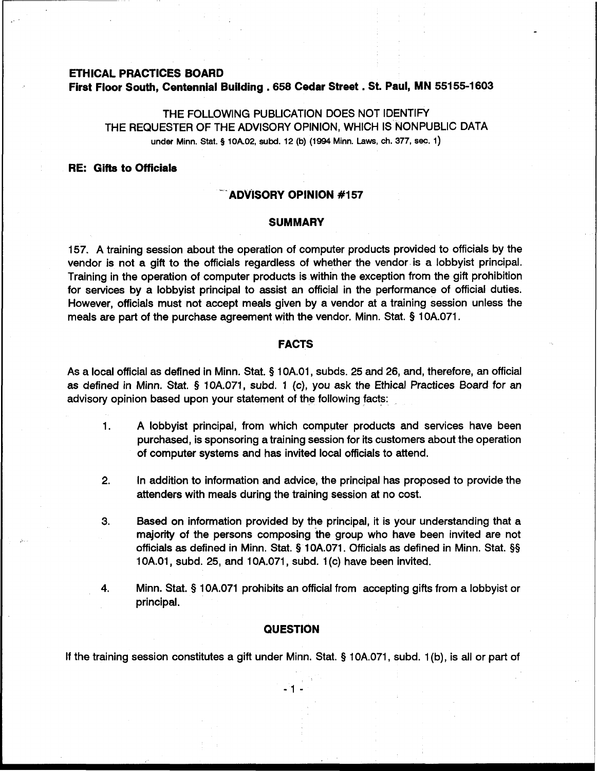# **ETHICAL PRACTICES BOARD First Floor South, Centennial Building ,658 Cedar Street** . **St. Paul, MN 55155-1 603**

THE FOLLOWING PUBLICATION DOES NOT IDENTIFY THE REQUESTER OF THE ADVISORY OPINION, WHICH IS NONPUBLIC DATA **under Minn.** Stat. **5 10A02, subd. 12 (b) (1994 Minn. Laws, ch. 377, see. 1)** 

# **RE: Gifts to Officials**

## - **'ADVISORY OPINION #I57**

#### **SUMMARY**

157. A training session about the operation of computer products provided to officials by the vendor is not a gift to the officials regardless of whether the vendor is a lobbyist principal. Training in the operation of computer products is within the exception from the gift prohibition for services by a lobbyist principal to assist an official in the performance of official duties. However, officials must not accept meals given by a vendor at a training session unless the meals are part of the purchase agreement with the vendor. Minn. Stat. **Q** 10A.071.

# **FACTS**

As a local official as defined in Minn. Stat. **Q** 10A.O1, subds. 25 and 26, and, therefore, an official as defined in Minn. Stat. **Q** 10A.071, subd. 1 (c), you ask the Ethical Practices Board for an advisory opinion based upon your statement of the following facts:

- 1. A lobbyist principal, from which computer products and services have been purchased, is sponsoring a training session for its customers about the operation of computer systems and has invited local officials to attend.
- 2. In addition to information and advice, the principal has proposed to provide the attenders with meals during the training session at no cost.
- **3.** Based on information provided by the principal, it is your understanding that a majority of the persons composing the group who have been invited are not officials as defined in Minn. Stat. **Q** 10A.071. Officials as defined in Minn. Stat. **\$5**  1 OA.O1, subd. 25, and 10A.071, subd. 1 (c) have been invited.
- **4.** Minn. Stat. **Q** 10A.071 prohibits an official from accepting gifts from a lobbyist or principal.

## **QUESTION**

If the training session constitutes a gift under Minn. Stat. **Q** 10A.071, subd. 1 (b), is all or part of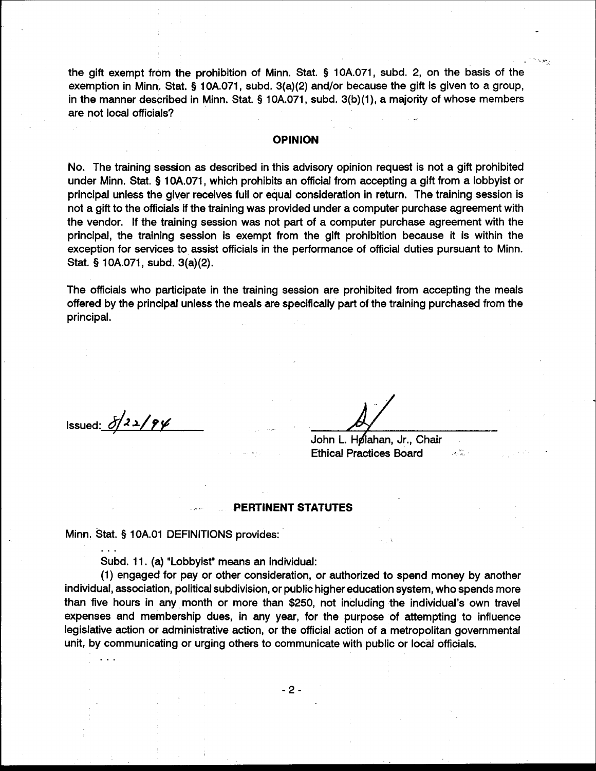the gift exempt from the prohibition of Minn. Stat. § 10A.071, subd. 2, on the basis of the exemption in Minn. Stat. § 10A.071, subd. 3(a)(2) and/or because the gift is given to a group, in the manner described in Minn. Stat. § 10A.071, subd. 3(b)(1), a majority of whose members are not local officials?

### **OPINION**

No. The training session as described in this advisory opinion request is not a gift prohibited under Minn. Stat. § 10A.071, which prohibits an official from accepting a gift from a lobbyist or principal unless the giver receives full or equal consideration in return. The training session is not a gift to the officials if the training was provided under a computer purchase agreement with the vendor. If the training session was not part of a computer purchase agreement with the principal, the training session is exempt from the gift prohibition because it is within the exception for services to assist officials in the performance of official duties pursuant to Minn. Stat. § 10A.071, subd. 3(a)(2).

The officials who participate in the training session are prohibited from accepting the meals offered by the principal unless the meals are specifically part of the training purchased from the principal.

Issued:  $\delta/2/2$ 

John L. Hølahan, Jr., Chair **Ethical Practices Board** 

 $\mathcal{G}(\mathcal{F}_{\mathcal{G}})$  :

#### **PERTINENT STATUTES**

Minn. Stat. § 10A.01 DEFINITIONS provides:

Subd. 11. (a) "Lobbyist" means an individual:

(1) engaged for pay or other consideration, or authorized to spend money by another individual, association, political subdivision, or public higher education system, who spends more than five hours in any month or more than \$250, not including the individual's own travel expenses and membership dues, in any year, for the purpose of attempting to influence legislative action or administrative action, or the official action of a metropolitan governmental unit, by communicating or urging others to communicate with public or local officials.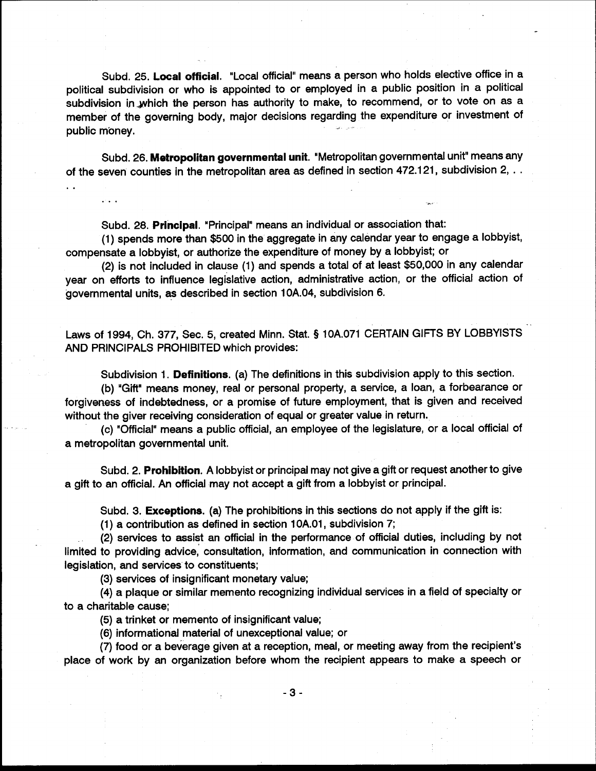Subd. 25. Local official. "Local official" means a person who holds elective office in a political subdivision or who is appointed to or employed in a public position in a political subdivision in which the person has authority to make, to recommend, or to vote on as a member of the governing body, major decisions regarding the expenditure or investment of public money.

Subd. 26. Metropolitan governmental unit. "Metropolitan governmental unit" means any of the seven counties in the metropolitan area as defined in section 472.121, subdivision 2, ..

Subd. 28. Principal. "Principal" means an individual or association that:

(1) spends more than \$500 in the aggregate in any calendar year to engage a lobbyist, compensate a lobbyist, or authorize the expenditure of money by a lobbyist; or

(2) is not included in clause (1) and spends a total of at least \$50,000 in any calendar year on efforts to influence legislative action, administrative action, or the official action of governmental units, as described in section 10A.04, subdivision 6.

Laws of 1994, Ch. 377, Sec. 5, created Minn. Stat. § 10A.071 CERTAIN GIFTS BY LOBBYISTS AND PRINCIPALS PROHIBITED which provides:

Subdivision 1. Definitions. (a) The definitions in this subdivision apply to this section.

(b) "Gift" means money, real or personal property, a service, a loan, a forbearance or forgiveness of indebtedness, or a promise of future employment, that is given and received without the giver receiving consideration of equal or greater value in return.

(c) "Official" means a public official, an employee of the legislature, or a local official of a metropolitan governmental unit.

Subd. 2. Prohibition. A lobbyist or principal may not give a gift or request another to give a gift to an official. An official may not accept a gift from a lobbyist or principal.

Subd. 3. Exceptions. (a) The prohibitions in this sections do not apply if the gift is:

(1) a contribution as defined in section 10A.01, subdivision 7;

(2) services to assist an official in the performance of official duties, including by not limited to providing advice, consultation, information, and communication in connection with legislation, and services to constituents;

(3) services of insignificant monetary value;

(4) a plaque or similar memento recognizing individual services in a field of specialty or to a charitable cause;

(5) a trinket or memento of insignificant value;

(6) informational material of unexceptional value; or

(7) food or a beverage given at a reception, meal, or meeting away from the recipient's place of work by an organization before whom the recipient appears to make a speech or